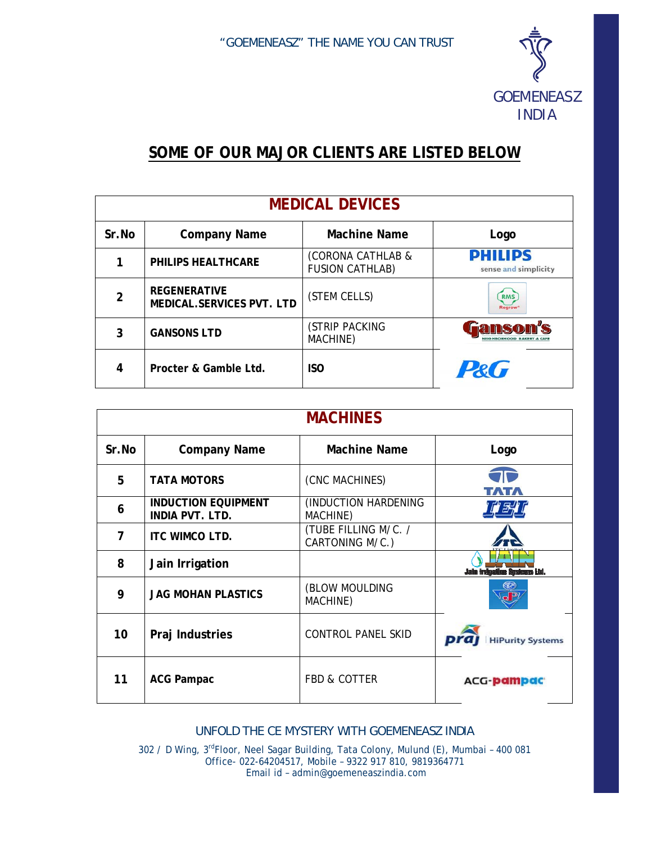

## SOME OF OUR MAJOR CLIENTS ARE LISTED BELOW

| <b>MEDICAL DEVICES</b> |                                                  |                                             |                                          |  |
|------------------------|--------------------------------------------------|---------------------------------------------|------------------------------------------|--|
| Sr.No                  | <b>Company Name</b>                              | <b>Machine Name</b>                         | Logo                                     |  |
|                        | PHILIPS HEALTHCARE                               | (CORONA CATHLAB &<br><b>FUSION CATHLAB)</b> | <b>PHILIPS</b><br>sense and simplicity   |  |
| $\overline{2}$         | <b>REGENERATIVE</b><br>MEDICAL.SERVICES PVT. LTD | (STEM CELLS)                                | <b>RMS</b><br><b>Regrow</b> <sup>®</sup> |  |
| 3                      | <b>GANSONS LTD</b>                               | (STRIP PACKING<br>MACHINE)                  | anco<br><b>NEIGHBORHOOD BAKERY &amp;</b> |  |
| 4                      | Procter & Gamble Ltd.                            | <b>ISO</b>                                  | P&G                                      |  |

| <b>MACHINES</b> |                                                      |                                         |                                    |  |
|-----------------|------------------------------------------------------|-----------------------------------------|------------------------------------|--|
| Sr.No           | <b>Company Name</b>                                  | Machine Name                            | Logo                               |  |
| 5               | <b>TATA MOTORS</b>                                   | (CNC MACHINES)                          |                                    |  |
| 6               | <b>INDUCTION EQUIPMENT</b><br><b>INDIA PVT. LTD.</b> | (INDUCTION HARDENING<br>MACHINE)        |                                    |  |
| 7               | <b>ITC WIMCO LTD.</b>                                | (TUBE FILLING M/C. /<br>CARTONING M/C.) |                                    |  |
| 8               | Jain Irrigation                                      |                                         | <b>Jain induation Sestems Ltd.</b> |  |
| 9               | <b>JAG MOHAN PLASTICS</b>                            | (BLOW MOULDING<br>MACHINE)              |                                    |  |
| 10              | Praj Industries                                      | <b>CONTROL PANEL SKID</b>               | <b>HiPurity Systems</b>            |  |
| 11              | <b>ACG Pampac</b>                                    | <b>FBD &amp; COTTER</b>                 | <b>ACG-pampac</b>                  |  |

UNFOLD THE CE MYSTERY WITH GOEMENEASZ INDIA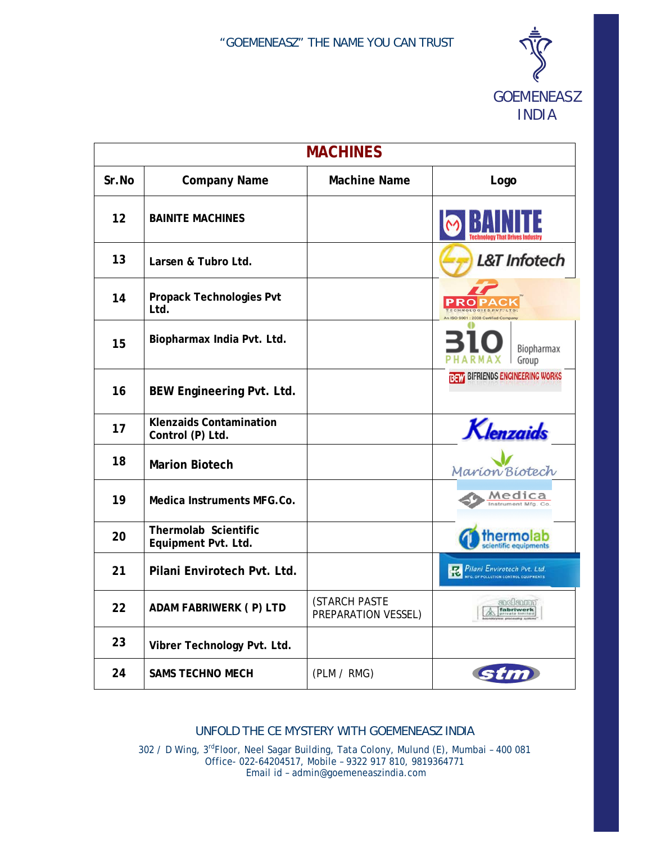

| <b>MACHINES</b> |                                                    |                                      |                                                                    |  |
|-----------------|----------------------------------------------------|--------------------------------------|--------------------------------------------------------------------|--|
| Sr.No           | <b>Company Name</b>                                | <b>Machine Name</b>                  | Logo                                                               |  |
| 12              | <b>BAINITE MACHINES</b>                            |                                      |                                                                    |  |
| 13              | Larsen & Tubro Ltd.                                |                                      | <b>L&amp;T</b> Infotech                                            |  |
| 14              | Propack Technologies Pvt<br>Ltd.                   |                                      |                                                                    |  |
| 15              | Biopharmax India Pvt. Ltd.                         |                                      | Biopharmax<br>Group                                                |  |
| 16              | BEW Engineering Pvt. Ltd.                          |                                      | <b>BEW BIFRIENDS ENGINEERING WORKS</b>                             |  |
| 17              | <b>Klenzaids Contamination</b><br>Control (P) Ltd. |                                      | Klenzaids                                                          |  |
| 18              | <b>Marion Biotech</b>                              |                                      | Marion Biotech                                                     |  |
| 19              | Medica Instruments MFG.Co.                         |                                      | Medica<br>strument Mfg. Co                                         |  |
| 20              | Thermolab Scientific<br>Equipment Pvt. Ltd.        |                                      |                                                                    |  |
| 21              | Pilani Envirotech Pvt. Ltd.                        |                                      | Pilani Envirotech Pvt. Ltd.<br><b>POLLUTION CONTROL EQUIPMENTS</b> |  |
| 22              | ADAM FABRIWERK (P) LTD                             | (STARCH PASTE<br>PREPARATION VESSEL) | adam<br>fabriwerk                                                  |  |
| 23              | Vibrer Technology Pvt. Ltd.                        |                                      |                                                                    |  |
| 24              | <b>SAMS TECHNO MECH</b>                            | (PLM / RMG)                          |                                                                    |  |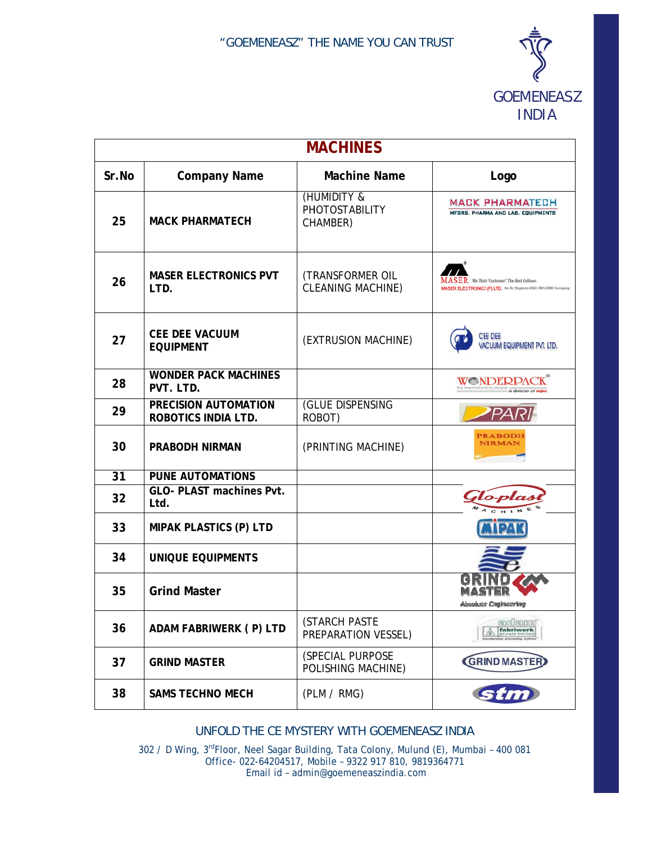

| <b>MACHINES</b> |                                             |                                              |                                                                                                                |  |
|-----------------|---------------------------------------------|----------------------------------------------|----------------------------------------------------------------------------------------------------------------|--|
| Sr.No           | <b>Company Name</b>                         | <b>Machine Name</b>                          | Logo                                                                                                           |  |
| 25              | <b>MACK PHARMATECH</b>                      | (HUMIDITY &<br>PHOTOSTABILITY<br>CHAMBER)    | <b>MACK PHARMATECH</b><br>MFGRS. PHARMA AND LAB. EQUIPMENTS                                                    |  |
| 26              | <b>MASER ELECTRONICS PVT</b><br>LTD.        | (TRANSFORMER OIL<br><b>CLEANING MACHINE)</b> | ER We Think 'Customer'. The Rest Follows.<br>MASER ELECTRONICS (P) LTD. An UL Registerd ISO, 9001:2008 Company |  |
| 27              | <b>CEE DEE VACUUM</b><br><b>EQUIPMENT</b>   | (EXTRUSION MACHINE)                          | <b>CEE DEE</b><br><b>VACUUM EQUIPMENT PVT. LTD.</b>                                                            |  |
| 28              | <b>WONDER PACK MACHINES</b><br>PVT. LTD.    |                                              | <b>WONDERPA</b><br>e thermoforming people<br>a division of Rajor                                               |  |
| 29              | PRECISION AUTOMATION<br>ROBOTICS INDIA LTD. | (GLUE DISPENSING<br>ROBOT)                   |                                                                                                                |  |
| 30              | <b>PRABODH NIRMAN</b>                       | (PRINTING MACHINE)                           | <b>PRABODH</b><br><b>NIRMAN</b>                                                                                |  |
| 31              | <b>PUNE AUTOMATIONS</b>                     |                                              |                                                                                                                |  |
| 32              | GLO- PLAST machines Pvt.<br>Ltd.            |                                              | Glo-pla                                                                                                        |  |
| 33              | MIPAK PLASTICS (P) LTD                      |                                              |                                                                                                                |  |
| 34              | <b>UNIQUE EQUIPMENTS</b>                    |                                              |                                                                                                                |  |
| 35              | <b>Grind Master</b>                         |                                              | <b>Absolute Craincering</b>                                                                                    |  |
| 36              | ADAM FABRIWERK (P) LTD                      | (STARCH PASTE<br>PREPARATION VESSEL)         | actam<br>fabriwerk                                                                                             |  |
| 37              | <b>GRIND MASTER</b>                         | (SPECIAL PURPOSE<br>POLISHING MACHINE)       | <b>GRIND MASTER</b>                                                                                            |  |
| 38              | <b>SAMS TECHNO MECH</b>                     | (PLM / RMG)                                  | stm                                                                                                            |  |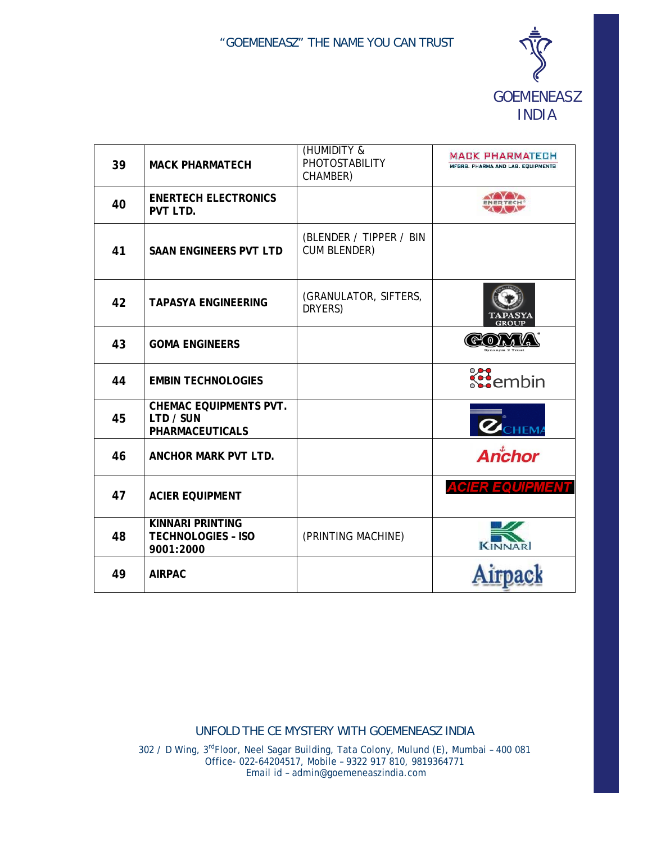

| 39 | <b>MACK PHARMATECH</b>                                               | (HUMIDITY &<br><b>PHOTOSTABILITY</b><br>CHAMBER) | <b>MACK PHARMATECH</b><br>MFGRS, PHARMA AND LAB, EQUIPMENTS |
|----|----------------------------------------------------------------------|--------------------------------------------------|-------------------------------------------------------------|
| 40 | <b>ENERTECH ELECTRONICS</b><br>PVT LTD.                              |                                                  |                                                             |
| 41 | <b>SAAN ENGINEERS PVT LTD</b>                                        | (BLENDER / TIPPER / BIN<br><b>CUM BLENDER)</b>   |                                                             |
| 42 | <b>TAPASYA ENGINEERING</b>                                           | (GRANULATOR, SIFTERS,<br>DRYERS)                 | GROUE                                                       |
| 43 | <b>GOMA ENGINEERS</b>                                                |                                                  |                                                             |
| 44 | <b>EMBIN TECHNOLOGIES</b>                                            |                                                  | $\mathbf{R}$ embin                                          |
| 45 | <b>CHEMAC EQUIPMENTS PVT.</b><br>LTD / SUN<br><b>PHARMACEUTICALS</b> |                                                  | <b>HEMA</b>                                                 |
| 46 | ANCHOR MARK PVT LTD.                                                 |                                                  | Anchor                                                      |
| 47 | <b>ACIER EQUIPMENT</b>                                               |                                                  | ACIER EQUIPI<br>12 N S                                      |
| 48 | <b>KINNARI PRINTING</b><br><b>TECHNOLOGIES - ISO</b><br>9001:2000    | (PRINTING MACHINE)                               |                                                             |
| 49 | <b>AIRPAC</b>                                                        |                                                  |                                                             |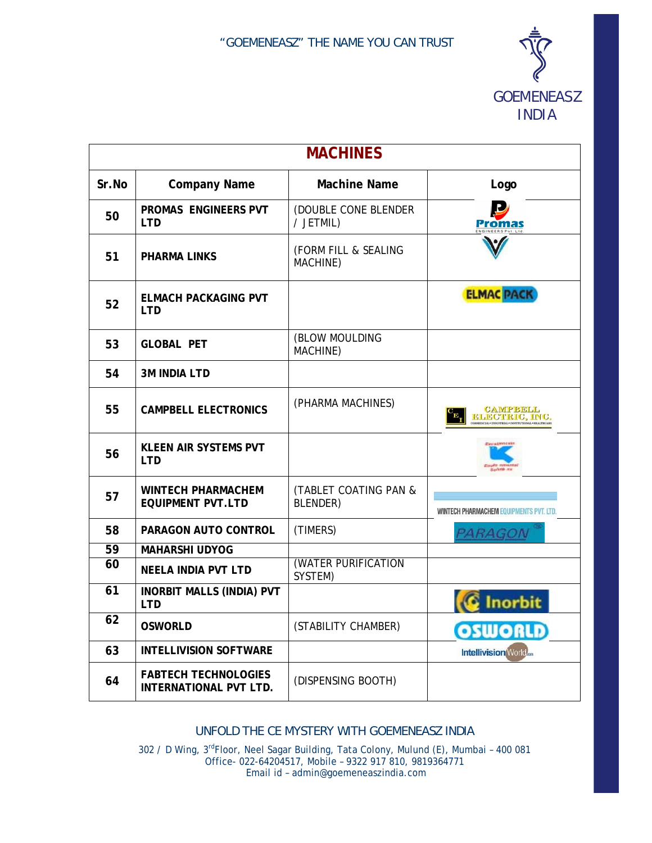

| <b>MACHINES</b> |                                                       |                                   |                                                |  |
|-----------------|-------------------------------------------------------|-----------------------------------|------------------------------------------------|--|
| Sr.No           | <b>Company Name</b>                                   | <b>Machine Name</b>               | Logo                                           |  |
| 50              | PROMAS ENGINEERS PVT<br><b>LTD</b>                    | (DOUBLE CONE BLENDER<br>/ JETMIL) |                                                |  |
| 51              | <b>PHARMA LINKS</b>                                   | (FORM FILL & SEALING<br>MACHINE)  |                                                |  |
| 52              | <b>ELMACH PACKAGING PVT</b><br><b>LTD</b>             |                                   | <b>ELMAC PACK</b>                              |  |
| 53              | <b>GLOBAL PET</b>                                     | (BLOW MOULDING<br>MACHINE)        |                                                |  |
| 54              | <b>3M INDIA LTD</b>                                   |                                   |                                                |  |
| 55              | <b>CAMPBELL ELECTRONICS</b>                           | (PHARMA MACHINES)                 | <b>CAMPBELL</b><br>ELECTRIC, INC.              |  |
| 56              | <b>KLEEN AIR SYSTEMS PVT</b><br><b>LTD</b>            |                                   |                                                |  |
| 57              | <b>WINTECH PHARMACHEM</b><br><b>EQUIPMENT PVT.LTD</b> | (TABLET COATING PAN &<br>BLENDER) | <b>WINTECH PHARMACHEM EQUIPMENTS PVT. LTD.</b> |  |
| 58              | PARAGON AUTO CONTROL                                  | (TIMERS)                          | PARAGON                                        |  |
| 59              | <b>MAHARSHI UDYOG</b>                                 |                                   |                                                |  |
| 60              | <b>NEELA INDIA PVT LTD</b>                            | (WATER PURIFICATION<br>SYSTEM)    |                                                |  |
| 61              | <b>INORBIT MALLS (INDIA) PVT</b><br><b>LTD</b>        |                                   | <b>Inorbit</b>                                 |  |
| 62              | <b>OSWORLD</b>                                        | (STABILITY CHAMBER)               | <b>OSWORLD</b>                                 |  |
| 63              | <b>INTELLIVISION SOFTWARE</b>                         |                                   | <b>Intellivision World</b>                     |  |
| 64              | <b>FABTECH TECHNOLOGIES</b><br>INTERNATIONAL PVT LTD. | (DISPENSING BOOTH)                |                                                |  |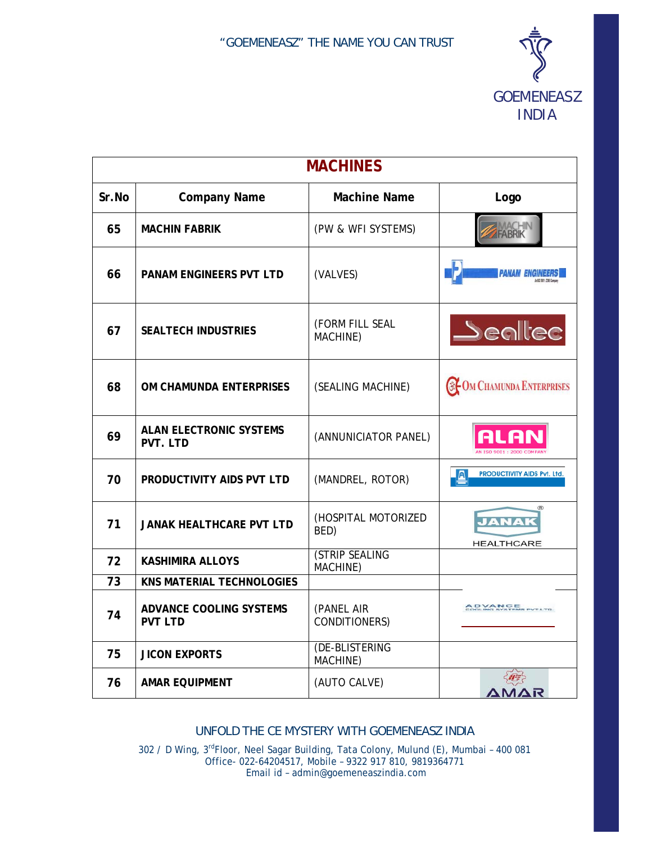

| <b>MACHINES</b> |                                                  |                                   |                                             |  |
|-----------------|--------------------------------------------------|-----------------------------------|---------------------------------------------|--|
| Sr.No           | <b>Company Name</b>                              | <b>Machine Name</b>               | Logo                                        |  |
| 65              | <b>MACHIN FABRIK</b>                             | (PW & WFI SYSTEMS)                |                                             |  |
| 66              | PANAM ENGINEERS PVT LTD                          | (VALVES)                          |                                             |  |
| 67              | <b>SEALTECH INDUSTRIES</b>                       | (FORM FILL SEAL<br>MACHINE)       | $\blacktriangle$ eallec                     |  |
| 68              | OM CHAMUNDA ENTERPRISES                          | (SEALING MACHINE)                 | <b>@FOM CHAMUNDA ENTERPRISES</b>            |  |
| 69              | <b>ALAN ELECTRONIC SYSTEMS</b><br>PVT. LTD       | (ANNUNICIATOR PANEL)              | A                                           |  |
| 70              | PRODUCTIVITY AIDS PVT LTD                        | (MANDREL, ROTOR)                  | PRODUCTIVITY AIDS Pvt. Ltd.                 |  |
| 71              | <b>JANAK HEALTHCARE PVT LTD</b>                  | (HOSPITAL MOTORIZED<br>BED)       | $^{\circledR}$<br>JANA<br><b>HEALTHCARE</b> |  |
| 72              | <b>KASHIMIRA ALLOYS</b>                          | <b>(STRIP SEALING</b><br>MACHINE) |                                             |  |
| 73              | <b>KNS MATERIAL TECHNOLOGIES</b>                 |                                   |                                             |  |
| 74              | <b>ADVANCE COOLING SYSTEMS</b><br><b>PVT LTD</b> | (PANEL AIR<br>CONDITIONERS)       | <b>ADVANCE</b><br>And this systems pyt.l    |  |
| 75              | <b>JICON EXPORTS</b>                             | (DE-BLISTERING<br>MACHINE)        |                                             |  |
| 76              | <b>AMAR EQUIPMENT</b>                            | (AUTO CALVE)                      | AR.                                         |  |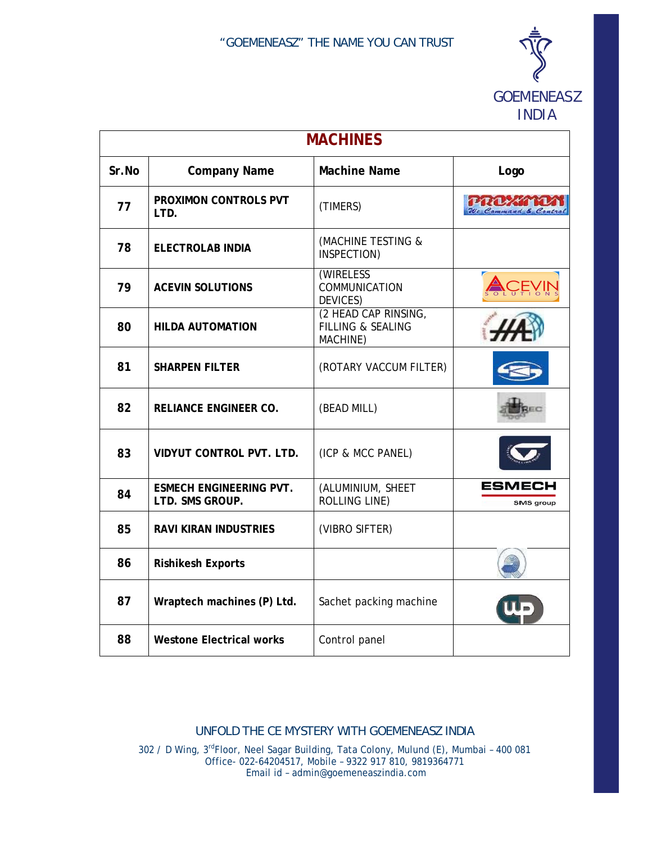

INDIA

| <b>MACHINES</b> |                                                   |                                                                  |                                      |
|-----------------|---------------------------------------------------|------------------------------------------------------------------|--------------------------------------|
| Sr.No           | <b>Company Name</b>                               | <b>Machine Name</b>                                              | Logo                                 |
| 77              | PROXIMON CONTROLS PVT<br>LTD.                     | (TIMERS)                                                         | <b>PROZEN</b><br>We Command & Coutre |
| 78              | <b>ELECTROLAB INDIA</b>                           | (MACHINE TESTING &<br>INSPECTION)                                |                                      |
| 79              | <b>ACEVIN SOLUTIONS</b>                           | (WIRELESS<br>COMMUNICATION<br>DEVICES)                           |                                      |
| 80              | <b>HILDA AUTOMATION</b>                           | (2 HEAD CAP RINSING,<br><b>FILLING &amp; SEALING</b><br>MACHINE) |                                      |
| 81              | <b>SHARPEN FILTER</b>                             | (ROTARY VACCUM FILTER)                                           |                                      |
| 82              | <b>RELIANCE ENGINEER CO.</b>                      | (BEAD MILL)                                                      |                                      |
| 83              | <b>VIDYUT CONTROL PVT. LTD.</b>                   | (ICP & MCC PANEL)                                                |                                      |
| 84              | <b>ESMECH ENGINEERING PVT.</b><br>LTD. SMS GROUP. | (ALUMINIUM, SHEET<br>ROLLING LINE)                               | ESMECH<br><b>SMS</b> group           |
| 85              | <b>RAVI KIRAN INDUSTRIES</b>                      | (VIBRO SIFTER)                                                   |                                      |
| 86              | <b>Rishikesh Exports</b>                          |                                                                  |                                      |
| 87              | Wraptech machines (P) Ltd.                        | Sachet packing machine                                           |                                      |
| 88              | <b>Westone Electrical works</b>                   | Control panel                                                    |                                      |

## *UNFOLD THE CE MYSTERY WITH GOEMENEASZ INDIA*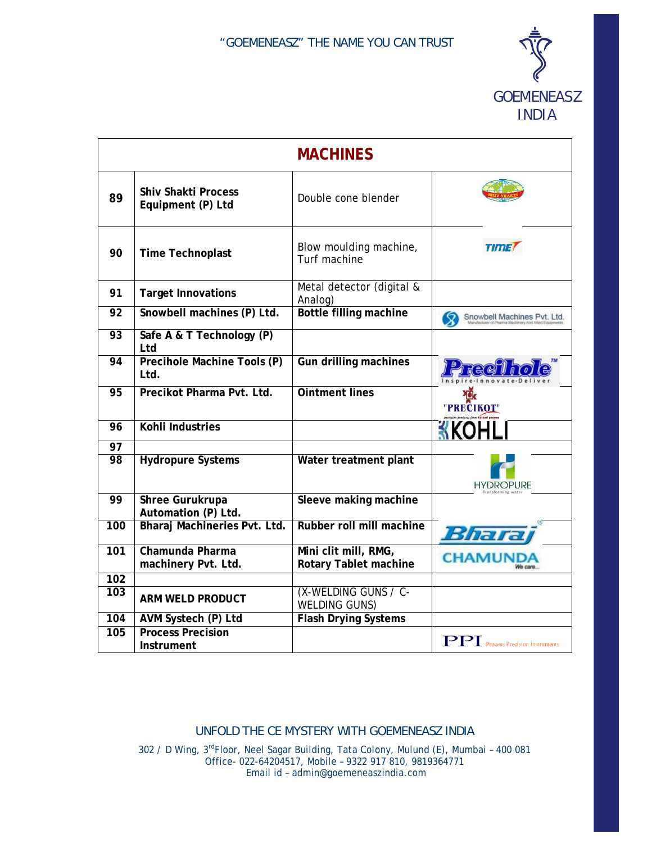

|                 |                                                 | <b>MACHINES</b>                                      |                                          |
|-----------------|-------------------------------------------------|------------------------------------------------------|------------------------------------------|
| 89              | <b>Shiv Shakti Process</b><br>Equipment (P) Ltd | Double cone blender                                  |                                          |
| 90              | <b>Time Technoplast</b>                         | Blow moulding machine,<br>Turf machine               | <b>TIME</b>                              |
| 91              | <b>Target Innovations</b>                       | Metal detector (digital &<br>Analog)                 |                                          |
| $\overline{92}$ | Snowbell machines (P) Ltd.                      | <b>Bottle filling machine</b>                        | Snowbell Machines Pvt. Ltd.              |
| $\overline{93}$ | Safe A & T Technology (P)<br>Ltd                |                                                      |                                          |
| 94              | Precihole Machine Tools (P)<br>. ht I           | <b>Gun drilling machines</b>                         | Preci                                    |
| $\overline{95}$ | Precikot Pharma Pvt. Ltd.                       | <b>Ointment lines</b>                                | "PRECIKOT"                               |
| 96              | Kohli Industries                                |                                                      |                                          |
| 97              |                                                 |                                                      |                                          |
| $\overline{98}$ | <b>Hydropure Systems</b>                        | Water treatment plant                                | <b>HYDROPURE</b>                         |
| 99              | <b>Shree Gurukrupa</b><br>Automation (P) Ltd.   | Sleeve making machine                                |                                          |
| 100             | Bharaj Machineries Pvt. Ltd.                    | Rubber roll mill machine                             | Bharra                                   |
| 101             | Chamunda Pharma<br>machinery Pvt. Ltd.          | Mini clit mill, RMG,<br><b>Rotary Tablet machine</b> | <b>CHAMUNDA</b><br>We care               |
| 102             |                                                 |                                                      |                                          |
| 103             | <b>ARM WELD PRODUCT</b>                         | (X-WELDING GUNS / C-<br><b>WELDING GUNS)</b>         |                                          |
| 104             | AVM Systech (P) Ltd                             | <b>Flash Drying Systems</b>                          |                                          |
| 105             | <b>Process Precision</b><br>Instrument          |                                                      | <b>PPI</b> Process Precision Instruments |